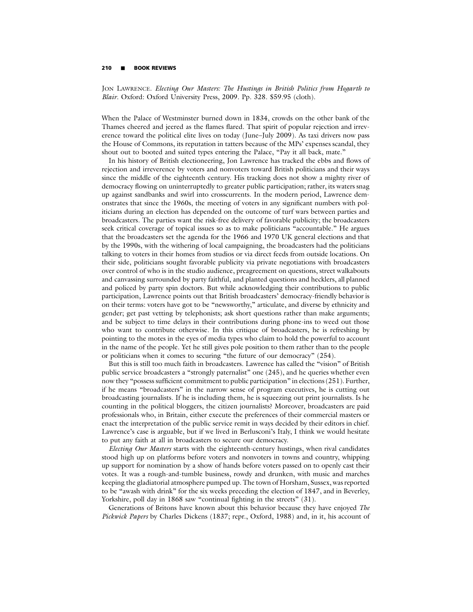## **210** -**BOOK REVIEWS**

JON LAWRENCE. *Electing Our Masters: The Hustings in British Politics from Hogarth to Blair*. Oxford: Oxford University Press, 2009. Pp. 328. \$59.95 (cloth).

When the Palace of Westminster burned down in 1834, crowds on the other bank of the Thames cheered and jeered as the flames flared. That spirit of popular rejection and irreverence toward the political elite lives on today (June–July 2009). As taxi drivers now pass the House of Commons, its reputation in tatters because of the MPs' expenses scandal, they shout out to booted and suited types entering the Palace, "Pay it all back, mate."

In his history of British electioneering, Jon Lawrence has tracked the ebbs and flows of rejection and irreverence by voters and nonvoters toward British politicians and their ways since the middle of the eighteenth century. His tracking does not show a mighty river of democracy flowing on uninterruptedly to greater public participation; rather, its waters snag up against sandbanks and swirl into crosscurrents. In the modern period, Lawrence demonstrates that since the 1960s, the meeting of voters in any significant numbers with politicians during an election has depended on the outcome of turf wars between parties and broadcasters. The parties want the risk-free delivery of favorable publicity; the broadcasters seek critical coverage of topical issues so as to make politicians "accountable." He argues that the broadcasters set the agenda for the 1966 and 1970 UK general elections and that by the 1990s, with the withering of local campaigning, the broadcasters had the politicians talking to voters in their homes from studios or via direct feeds from outside locations. On their side, politicians sought favorable publicity via private negotiations with broadcasters over control of who is in the studio audience, preagreement on questions, street walkabouts and canvassing surrounded by party faithful, and planted questions and hecklers, all planned and policed by party spin doctors. But while acknowledging their contributions to public participation, Lawrence points out that British broadcasters' democracy-friendly behavior is on their terms: voters have got to be "newsworthy," articulate, and diverse by ethnicity and gender; get past vetting by telephonists; ask short questions rather than make arguments; and be subject to time delays in their contributions during phone-ins to weed out those who want to contribute otherwise. In this critique of broadcasters, he is refreshing by pointing to the motes in the eyes of media types who claim to hold the powerful to account in the name of the people. Yet he still gives pole position to them rather than to the people or politicians when it comes to securing "the future of our democracy" (254).

But this is still too much faith in broadcasters. Lawrence has called the "vision" of British public service broadcasters a "strongly paternalist" one (245), and he queries whether even now they "possess sufficient commitment to public participation" in elections (251). Further, if he means "broadcasters" in the narrow sense of program executives, he is cutting out broadcasting journalists. If he is including them, he is squeezing out print journalists. Is he counting in the political bloggers, the citizen journalists? Moreover, broadcasters are paid professionals who, in Britain, either execute the preferences of their commercial masters or enact the interpretation of the public service remit in ways decided by their editors in chief. Lawrence's case is arguable, but if we lived in Berlusconi's Italy, I think we would hesitate to put any faith at all in broadcasters to secure our democracy.

*Electing Our Masters* starts with the eighteenth-century hustings, when rival candidates stood high up on platforms before voters and nonvoters in towns and country, whipping up support for nomination by a show of hands before voters passed on to openly cast their votes. It was a rough-and-tumble business, rowdy and drunken, with music and marches keeping the gladiatorial atmosphere pumped up. The town of Horsham, Sussex, was reported to be "awash with drink" for the six weeks preceding the election of 1847, and in Beverley, Yorkshire, poll day in 1868 saw "continual fighting in the streets" (31).

Generations of Britons have known about this behavior because they have enjoyed *The Pickwick Papers* by Charles Dickens (1837; repr., Oxford, 1988) and, in it, his account of